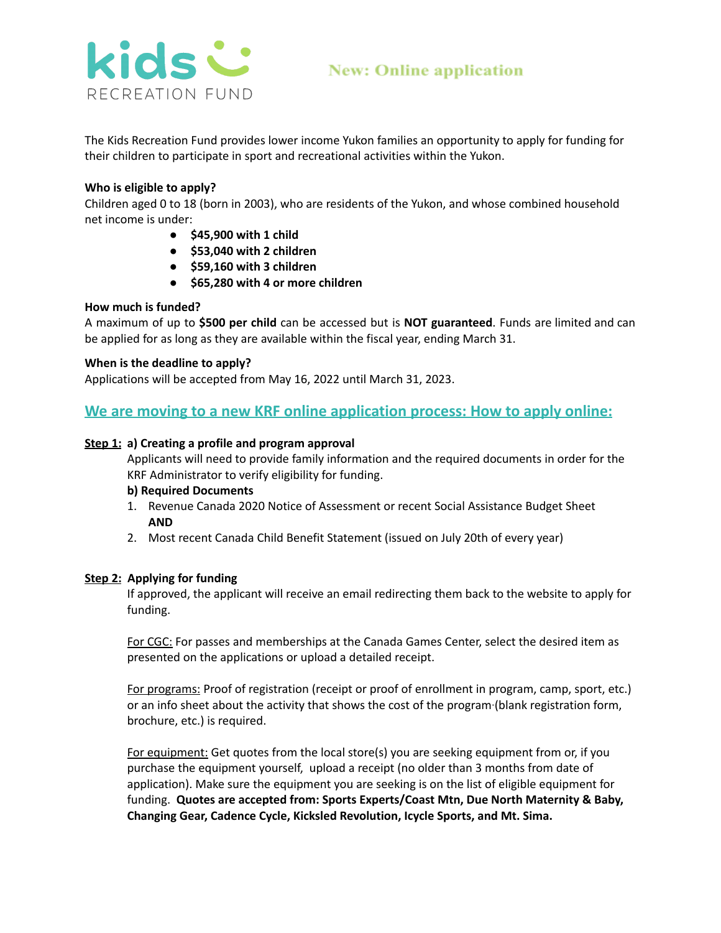

The Kids Recreation Fund provides lower income Yukon families an opportunity to apply for funding for their children to participate in sport and recreational activities within the Yukon.

## **Who is eligible to apply?**

Children aged 0 to 18 (born in 2003), who are residents of the Yukon, and whose combined household net income is under:

- **● \$45,900 with 1 child**
- **● \$53,040 with 2 children**
- **● \$59,160 with 3 children**
- **● \$65,280 with 4 or more children**

## **How much is funded?**

A maximum of up to **\$500 per child** can be accessed but is **NOT guaranteed**. Funds are limited and can be applied for as long as they are available within the fiscal year, ending March 31.

## **When is the deadline to apply?**

Applications will be accepted from May 16, 2022 until March 31, 2023.

# **We are moving to a new KRF online application process: How to apply online:**

#### **Step 1: a) Creating a profile and program approval**

Applicants will need to provide family information and the required documents in order for the KRF Administrator to verify eligibility for funding.

#### **b) Required Documents**

- 1. Revenue Canada 2020 Notice of Assessment or recent Social Assistance Budget Sheet **AND**
- 2. Most recent Canada Child Benefit Statement (issued on July 20th of every year)

#### **Step 2: Applying for funding**

If approved, the applicant will receive an email redirecting them back to the website to apply for funding.

For CGC: For passes and memberships at the Canada Games Center, select the desired item as presented on the applications or upload a detailed receipt.

For programs: Proof of registration (receipt or proof of enrollment in program, camp, sport, etc.) or an info sheet about the activity that shows the cost of the program (blank registration form, brochure, etc.) is required.

For equipment: Get quotes from the local store(s) you are seeking equipment from or, if you purchase the equipment yourself, upload a receipt (no older than 3 months from date of application). Make sure the equipment you are seeking is on the list of eligible equipment for funding. **Quotes are accepted from: Sports Experts/Coast Mtn, Due North Maternity & Baby, Changing Gear, Cadence Cycle, Kicksled Revolution, Icycle Sports, and Mt. Sima.**